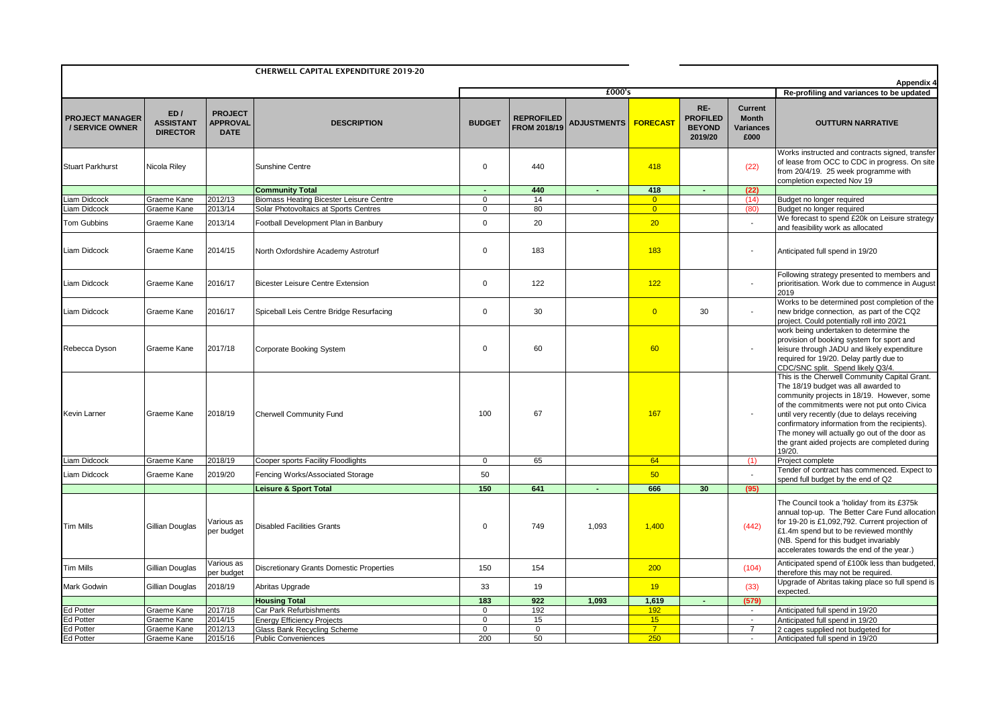| <b>CHERWELL CAPITAL EXPENDITURE 2019-20</b> |                                            |                                                  |                                                                                         |                               |                                          |                        |                                  |                                                    | Appendix 4                                   |                                                                                                                                                                                                                                                                                                                                                                                                 |
|---------------------------------------------|--------------------------------------------|--------------------------------------------------|-----------------------------------------------------------------------------------------|-------------------------------|------------------------------------------|------------------------|----------------------------------|----------------------------------------------------|----------------------------------------------|-------------------------------------------------------------------------------------------------------------------------------------------------------------------------------------------------------------------------------------------------------------------------------------------------------------------------------------------------------------------------------------------------|
|                                             |                                            |                                                  |                                                                                         | £000's                        |                                          |                        |                                  |                                                    | Re-profiling and variances to be updated     |                                                                                                                                                                                                                                                                                                                                                                                                 |
| <b>PROJECT MANAGER</b><br>/ SERVICE OWNER   | ED/<br><b>ASSISTANT</b><br><b>DIRECTOR</b> | <b>PROJECT</b><br><b>APPROVAL</b><br><b>DATE</b> | <b>DESCRIPTION</b>                                                                      | <b>BUDGET</b>                 | <b>REPROFILED</b><br><b>FROM 2018/19</b> | ADJUSTMENTS   FORECAST |                                  | RE-<br><b>PROFILED</b><br><b>BEYOND</b><br>2019/20 | Current<br><b>Month</b><br>Variances<br>£000 | <b>OUTTURN NARRATIVE</b>                                                                                                                                                                                                                                                                                                                                                                        |
| <b>Stuart Parkhurst</b>                     | Nicola Riley                               |                                                  | Sunshine Centre                                                                         | $\mathbf 0$                   | 440                                      |                        | 418                              |                                                    | (22)                                         | Works instructed and contracts signed, transfer<br>of lease from OCC to CDC in progress. On site<br>from 20/4/19. 25 week programme with<br>completion expected Nov 19                                                                                                                                                                                                                          |
|                                             |                                            |                                                  | <b>Community Total</b>                                                                  | ä,                            | 440                                      |                        | 418                              |                                                    | (22)                                         |                                                                                                                                                                                                                                                                                                                                                                                                 |
| Liam Didcock<br>Liam Didcock                | Graeme Kane<br>Graeme Kane                 | 2012/13<br>2013/14                               | <b>Biomass Heating Bicester Leisure Centre</b><br>Solar Photovoltaics at Sports Centres | $\mathbf 0$<br>$\overline{0}$ | 14<br>80                                 |                        | $\overline{0}$<br>$\overline{0}$ |                                                    | (14)<br>(80)                                 | Budget no longer required<br>Budget no longer required                                                                                                                                                                                                                                                                                                                                          |
|                                             |                                            |                                                  |                                                                                         |                               |                                          |                        |                                  |                                                    |                                              | We forecast to spend £20k on Leisure strategy                                                                                                                                                                                                                                                                                                                                                   |
| <b>Tom Gubbins</b>                          | Graeme Kane                                | 2013/14                                          | Football Development Plan in Banbury                                                    | $\mathsf 0$                   | 20                                       |                        | 20                               |                                                    |                                              | and feasibility work as allocated                                                                                                                                                                                                                                                                                                                                                               |
| <b>Liam Didcock</b>                         | Graeme Kane                                | 2014/15                                          | North Oxfordshire Academy Astroturf                                                     | $\mathbf 0$                   | 183                                      |                        | 183                              |                                                    | $\overline{\phantom{a}}$                     | Anticipated full spend in 19/20                                                                                                                                                                                                                                                                                                                                                                 |
| Liam Didcock                                | Graeme Kane                                | 2016/17                                          | <b>Bicester Leisure Centre Extension</b>                                                | $\mathbf 0$                   | 122                                      |                        | 122                              |                                                    | $\blacksquare$                               | Following strategy presented to members and<br>prioritisation. Work due to commence in August<br>2019                                                                                                                                                                                                                                                                                           |
| Liam Didcock                                | Graeme Kane                                | 2016/17                                          | Spiceball Leis Centre Bridge Resurfacing                                                | $\mathbf 0$                   | 30                                       |                        | $\overline{0}$                   | 30                                                 |                                              | Works to be determined post completion of the<br>new bridge connection, as part of the CQ2<br>project. Could potentially roll into 20/21                                                                                                                                                                                                                                                        |
| Rebecca Dyson                               | Graeme Kane                                | 2017/18                                          | <b>Corporate Booking System</b>                                                         | $\mathbf 0$                   | 60                                       |                        | 60                               |                                                    |                                              | work being undertaken to determine the<br>provision of booking system for sport and<br>leisure through JADU and likely expenditure<br>required for 19/20. Delay partly due to<br>CDC/SNC split. Spend likely Q3/4.                                                                                                                                                                              |
| Kevin Larner                                | Graeme Kane                                | 2018/19                                          | Cherwell Community Fund                                                                 | 100                           | 67                                       |                        | 167                              |                                                    |                                              | This is the Cherwell Community Capital Grant.<br>The 18/19 budget was all awarded to<br>community projects in 18/19. However, some<br>of the commitments were not put onto Civica<br>until very recently (due to delays receiving<br>confirmatory information from the recipients).<br>The money will actually go out of the door as<br>the grant aided projects are completed during<br>19/20. |
| Liam Didcock                                | Graeme Kane                                | 2018/19                                          | Cooper sports Facility Floodlights                                                      | $\mathbf 0$                   | 65                                       |                        | 64                               |                                                    | (1)                                          | Project complete                                                                                                                                                                                                                                                                                                                                                                                |
| Liam Didcock                                | Graeme Kane                                | 2019/20                                          | Fencing Works/Associated Storage                                                        | 50                            |                                          |                        | 50                               |                                                    |                                              | Tender of contract has commenced. Expect to<br>spend full budget by the end of Q2                                                                                                                                                                                                                                                                                                               |
|                                             |                                            |                                                  | <b>Leisure &amp; Sport Total</b>                                                        | 150                           | 641                                      |                        | 666                              | 30                                                 | (95)                                         |                                                                                                                                                                                                                                                                                                                                                                                                 |
| <b>Tim Mills</b>                            | Gillian Douglas                            | √arious as<br>per budget                         | <b>Disabled Facilities Grants</b>                                                       | 0                             | 749                                      | 1,093                  | 1,400                            |                                                    | (442)                                        | The Council took a 'holiday' from its £375k<br>annual top-up. The Better Care Fund allocation<br>for 19-20 is £1,092,792. Current projection of<br>£1.4m spend but to be reviewed monthly<br>(NB. Spend for this budget invariably<br>accelerates towards the end of the year.)                                                                                                                 |
| <b>Tim Mills</b>                            | Gillian Douglas                            | √arious as<br>ber budget                         | <b>Discretionary Grants Domestic Properties</b>                                         | 150                           | 154                                      |                        | 200                              |                                                    | (104)                                        | Anticipated spend of £100k less than budgeted,<br>therefore this may not be required.                                                                                                                                                                                                                                                                                                           |
| Mark Godwin                                 | Gillian Douglas                            | 2018/19                                          | Abritas Upgrade                                                                         | 33                            | 19                                       |                        | 19                               |                                                    | (33)                                         | Upgrade of Abritas taking place so full spend is<br>expected.                                                                                                                                                                                                                                                                                                                                   |
|                                             |                                            |                                                  | <b>Housing Total</b>                                                                    | 183                           | 922                                      | 1,093                  | 1,619                            |                                                    | (579)                                        |                                                                                                                                                                                                                                                                                                                                                                                                 |
| <b>Ed Potter</b>                            | Graeme Kane                                | 2017/18                                          | Car Park Refurbishments                                                                 | $\mathbf 0$                   | 192                                      |                        | 192                              |                                                    | $\sim$                                       | Anticipated full spend in 19/20                                                                                                                                                                                                                                                                                                                                                                 |
| <b>Ed Potter</b>                            | Graeme Kane                                | 2014/15                                          | <b>Energy Efficiency Projects</b>                                                       | $\mathbf 0$                   | 15                                       |                        | 15<br>$\overline{7}$             |                                                    | $\sim$                                       | Anticipated full spend in 19/20                                                                                                                                                                                                                                                                                                                                                                 |
| <b>Ed Potter</b><br><b>Ed Potter</b>        | Graeme Kane<br>Graeme Kane                 | 2012/13<br>2015/16                               | Glass Bank Recycling Scheme<br><b>Public Conveniences</b>                               | $\Omega$<br>200               | $\mathbf 0$<br>50                        |                        | 250                              |                                                    | $\overline{7}$<br>$\sim$                     | 2 cages supplied not budgeted for<br>Anticipated full spend in 19/20                                                                                                                                                                                                                                                                                                                            |
|                                             |                                            |                                                  |                                                                                         |                               |                                          |                        |                                  |                                                    |                                              |                                                                                                                                                                                                                                                                                                                                                                                                 |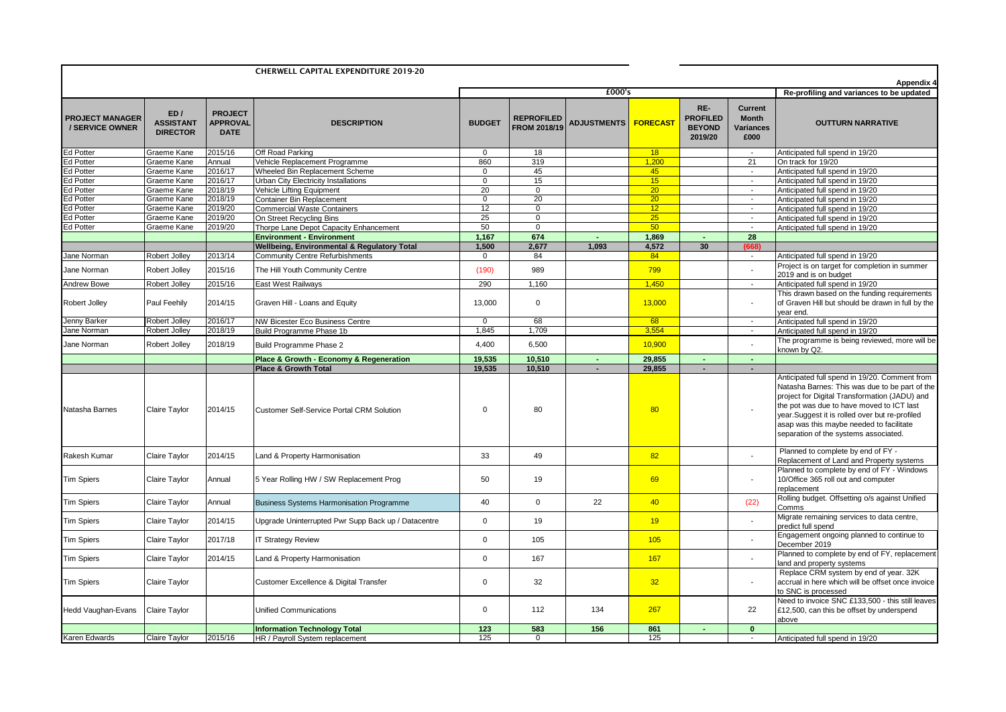| <b>CHERWELL CAPITAL EXPENDITURE 2019-20</b> |                                            |                                                  |                                                               |                   |                                          |                                     |          |                                                    |                                              | Appendix 4                                                                                                                                                                                                                                                                                                                           |
|---------------------------------------------|--------------------------------------------|--------------------------------------------------|---------------------------------------------------------------|-------------------|------------------------------------------|-------------------------------------|----------|----------------------------------------------------|----------------------------------------------|--------------------------------------------------------------------------------------------------------------------------------------------------------------------------------------------------------------------------------------------------------------------------------------------------------------------------------------|
|                                             |                                            |                                                  |                                                               | £000's            |                                          |                                     |          |                                                    |                                              | Re-profiling and variances to be updated                                                                                                                                                                                                                                                                                             |
| <b>PROJECT MANAGER</b><br>/ SERVICE OWNER   | ED/<br><b>ASSISTANT</b><br><b>DIRECTOR</b> | <b>PROJECT</b><br><b>APPROVAL</b><br><b>DATE</b> | <b>DESCRIPTION</b>                                            | <b>BUDGET</b>     | <b>REPROFILED</b><br><b>FROM 2018/19</b> | ADJUSTMENTS <mark>  FORECAST</mark> |          | RE-<br><b>PROFILED</b><br><b>BEYOND</b><br>2019/20 | Current<br><b>Month</b><br>Variances<br>£000 | <b>OUTTURN NARRATIVE</b>                                                                                                                                                                                                                                                                                                             |
| <b>Ed Potter</b>                            | Graeme Kane                                | 2015/16                                          | Off Road Parking                                              | $\mathbf{0}$      | 18                                       |                                     | 18       |                                                    | $\sim$                                       | Anticipated full spend in 19/20                                                                                                                                                                                                                                                                                                      |
| Ed Potter                                   | Graeme Kane                                | Annual                                           | Vehicle Replacement Programme                                 | 860               | 319                                      |                                     | 1,200    |                                                    | 21                                           | On track for 19/20                                                                                                                                                                                                                                                                                                                   |
| d Potter                                    | Graeme Kane                                | 2016/17                                          | Wheeled Bin Replacement Scheme                                | $\mathbf 0$       | 45                                       |                                     | 45       |                                                    | $\sim$                                       | Anticipated full spend in 19/20                                                                                                                                                                                                                                                                                                      |
| <b>Ed Potter</b>                            | Graeme Kane                                | 2016/17                                          | Urban City Electricity Installations                          | $\mathbf 0$<br>20 | 15                                       |                                     | 15<br>20 |                                                    | $\sim$                                       | Anticipated full spend in 19/20                                                                                                                                                                                                                                                                                                      |
| d Potter<br>d Potter                        | Graeme Kane<br>Graeme Kane                 | 2018/19<br>2018/19                               | Vehicle Lifting Equipment<br><b>Container Bin Replacement</b> | 0                 | $\overline{0}$<br>$\overline{20}$        |                                     | 20       |                                                    | $\sim$<br>$\sim$                             | Anticipated full spend in 19/20<br>Anticipated full spend in 19/20                                                                                                                                                                                                                                                                   |
| d Potter                                    | Graeme Kane                                | 2019/20                                          | <b>Commercial Waste Containers</b>                            | 12                | $\overline{0}$                           |                                     | 12       |                                                    | $\sim$                                       | Anticipated full spend in 19/20                                                                                                                                                                                                                                                                                                      |
| d Potter                                    | Graeme Kane                                | 2019/20                                          | On Street Recycling Bins                                      | 25                | $\mathbf 0$                              |                                     | 25       |                                                    | $\sim$                                       | Anticipated full spend in 19/20                                                                                                                                                                                                                                                                                                      |
| <b>Ed Potter</b>                            | Graeme Kane                                | 2019/20                                          | Thorpe Lane Depot Capacity Enhancement                        | 50                | $\overline{0}$                           |                                     | 50       |                                                    | $\sim$                                       | Anticipated full spend in 19/20                                                                                                                                                                                                                                                                                                      |
|                                             |                                            |                                                  | <b>Environment - Environment</b>                              | 1,167             | 674                                      |                                     | 1,869    |                                                    | 28                                           |                                                                                                                                                                                                                                                                                                                                      |
|                                             |                                            |                                                  | Wellbeing, Environmental & Regulatory Total                   | 1,500             | 2,677                                    | 1,093                               | 4,572    | 30                                                 | (668)                                        |                                                                                                                                                                                                                                                                                                                                      |
| Jane Norman                                 | Robert Jolley                              | 2013/14                                          | <b>Community Centre Refurbishments</b>                        | $\mathbf 0$       | 84                                       |                                     | 84       |                                                    | $\sim$                                       | Anticipated full spend in 19/20                                                                                                                                                                                                                                                                                                      |
| Jane Norman                                 | Robert Jolley                              | 2015/16                                          | The Hill Youth Community Centre                               | (190)             | 989                                      |                                     | 799      |                                                    |                                              | Project is on target for completion in summer<br>2019 and is on budget                                                                                                                                                                                                                                                               |
| <b>Andrew Bowe</b>                          | Robert Jolley                              | 2015/16                                          | East West Railways                                            | 290               | 1,160                                    |                                     | 1,450    |                                                    | $\sim$                                       | Anticipated full spend in 19/20                                                                                                                                                                                                                                                                                                      |
| Robert Jolley                               | Paul Feehily                               | 2014/15                                          | Graven Hill - Loans and Equity                                | 13,000            | $\mathbf 0$                              |                                     | 13,000   |                                                    | $\blacksquare$                               | This drawn based on the funding requirements<br>of Graven Hill but should be drawn in full by the<br>year end.                                                                                                                                                                                                                       |
| Jenny Barker                                | Robert Jollev                              | 2016/17                                          | NW Bicester Eco Business Centre                               | $\mathbf 0$       | 68                                       |                                     | 68       |                                                    | $\sim$                                       | Anticipated full spend in 19/20                                                                                                                                                                                                                                                                                                      |
| Jane Norman                                 | Robert Jolley                              | 2018/19                                          | Build Programme Phase 1b                                      | 1,845             | 1,709                                    |                                     | 3,554    |                                                    | $\sim$                                       | Anticipated full spend in 19/20                                                                                                                                                                                                                                                                                                      |
| Jane Norman                                 | Robert Jolley                              | 2018/19                                          | Build Programme Phase 2                                       | 4.400             | 6,500                                    |                                     | 10,900   |                                                    |                                              | The programme is being reviewed, more will be<br>known by Q2.                                                                                                                                                                                                                                                                        |
|                                             |                                            |                                                  | Place & Growth - Economy & Regeneration                       | 19,535            | 10,510                                   |                                     | 29,855   |                                                    | $\mathcal{L}^{\mathcal{A}}$                  |                                                                                                                                                                                                                                                                                                                                      |
|                                             |                                            |                                                  | <b>Place &amp; Growth Total</b>                               | 19,535            | 10,510                                   | $\tilde{\phantom{a}}$               | 29,855   | $\blacksquare$                                     | $\sim$                                       |                                                                                                                                                                                                                                                                                                                                      |
| Natasha Barnes                              | Claire Taylor                              | 2014/15                                          | <b>Customer Self-Service Portal CRM Solution</b>              | $\Omega$          | 80                                       |                                     | 80       |                                                    |                                              | Anticipated full spend in 19/20. Comment from<br>Natasha Barnes: This was due to be part of the<br>project for Digital Transformation (JADU) and<br>the pot was due to have moved to ICT last<br>year.Suggest it is rolled over but re-profiled<br>asap was this maybe needed to facilitate<br>separation of the systems associated. |
| Rakesh Kumar                                | Claire Taylor                              | 2014/15                                          | Land & Property Harmonisation                                 | 33                | 49                                       |                                     | 82       |                                                    |                                              | Planned to complete by end of FY -<br>Replacement of Land and Property systems                                                                                                                                                                                                                                                       |
| <b>Tim Spiers</b>                           | Claire Taylor                              | Annual                                           | 5 Year Rolling HW / SW Replacement Prog                       | 50                | 19                                       |                                     | 69       |                                                    |                                              | Planned to complete by end of FY - Windows<br>10/Office 365 roll out and computer<br>replacement                                                                                                                                                                                                                                     |
| <b>Tim Spiers</b>                           | Claire Taylor                              | Annual                                           | <b>Business Systems Harmonisation Programme</b>               | 40                | $\Omega$                                 | 22                                  | 40       |                                                    | (22)                                         | Rolling budget. Offsetting o/s against Unified<br>Comms                                                                                                                                                                                                                                                                              |
| <b>Tim Spiers</b>                           | Claire Taylor                              | 2014/15                                          | Upgrade Uninterrupted Pwr Supp Back up / Datacentre           | $\pmb{0}$         | 19                                       |                                     | 19       |                                                    |                                              | Migrate remaining services to data centre,<br>predict full spend                                                                                                                                                                                                                                                                     |
| <b>Tim Spiers</b>                           | Claire Taylor                              | 2017/18                                          | <b>T Strategy Review</b>                                      | 0                 | 105                                      |                                     | 105      |                                                    |                                              | Engagement ongoing planned to continue to<br>December 2019                                                                                                                                                                                                                                                                           |
| <b>Tim Spiers</b>                           | Claire Taylor                              | 2014/15                                          | Land & Property Harmonisation                                 | $\mathbf 0$       | 167                                      |                                     | 167      |                                                    |                                              | Planned to complete by end of FY, replacement<br>land and property systems                                                                                                                                                                                                                                                           |
| <b>Tim Spiers</b>                           | Claire Taylor                              |                                                  | Customer Excellence & Digital Transfer                        | $\mathbf 0$       | 32                                       |                                     | 32       |                                                    | $\blacksquare$                               | Replace CRM system by end of year. 32K<br>accrual in here which will be offset once invoice<br>to SNC is processed                                                                                                                                                                                                                   |
| Hedd Vaughan-Evans                          | Claire Taylor                              |                                                  | <b>Unified Communications</b>                                 | $\mathbf 0$       | 112                                      | 134                                 | 267      |                                                    | 22                                           | Need to invoice SNC £133,500 - this still leaves<br>£12,500, can this be offset by underspend<br>above                                                                                                                                                                                                                               |
|                                             |                                            |                                                  | <b>Information Technology Total</b>                           | 123               | 583                                      | 156                                 | 861      |                                                    | $\mathbf{0}$                                 |                                                                                                                                                                                                                                                                                                                                      |
| Karen Edwards                               | Claire Taylor                              | 2015/16                                          | HR / Payroll System replacement                               | 125               | $\Omega$                                 |                                     | 125      |                                                    |                                              | Anticipated full spend in 19/20                                                                                                                                                                                                                                                                                                      |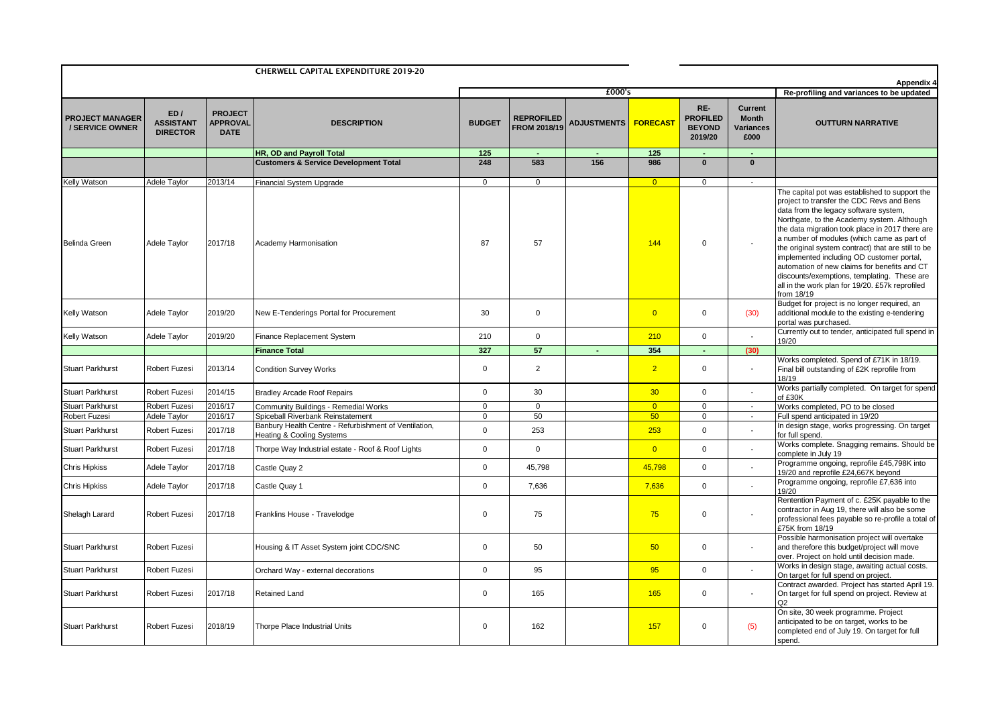| <b>CHERWELL CAPITAL EXPENDITURE 2019-20</b> |                                            |                                                  |                                                                                    |                |                                          |                        |                                          |                                                    | Appendix 4                                          |                                                                                                                                                                                                                                                                                                                                                                                                                                                                                                                                                        |
|---------------------------------------------|--------------------------------------------|--------------------------------------------------|------------------------------------------------------------------------------------|----------------|------------------------------------------|------------------------|------------------------------------------|----------------------------------------------------|-----------------------------------------------------|--------------------------------------------------------------------------------------------------------------------------------------------------------------------------------------------------------------------------------------------------------------------------------------------------------------------------------------------------------------------------------------------------------------------------------------------------------------------------------------------------------------------------------------------------------|
|                                             |                                            |                                                  |                                                                                    |                |                                          | £000's                 | Re-profiling and variances to be updated |                                                    |                                                     |                                                                                                                                                                                                                                                                                                                                                                                                                                                                                                                                                        |
| <b>PROJECT MANAGER</b><br>/ SERVICE OWNER   | ED/<br><b>ASSISTANT</b><br><b>DIRECTOR</b> | <b>PROJECT</b><br><b>APPROVAL</b><br><b>DATE</b> | <b>DESCRIPTION</b>                                                                 | <b>BUDGET</b>  | <b>REPROFILED</b><br><b>FROM 2018/19</b> | ADJUSTMENTS   FORECAST |                                          | RE-<br><b>PROFILED</b><br><b>BEYOND</b><br>2019/20 | <b>Current</b><br><b>Month</b><br>Variances<br>£000 | <b>OUTTURN NARRATIVE</b>                                                                                                                                                                                                                                                                                                                                                                                                                                                                                                                               |
|                                             |                                            |                                                  | HR, OD and Payroll Total                                                           | 125            |                                          |                        | 125                                      |                                                    | ٠                                                   |                                                                                                                                                                                                                                                                                                                                                                                                                                                                                                                                                        |
|                                             |                                            |                                                  | <b>Customers &amp; Service Development Total</b>                                   | 248            | 583                                      | 156                    | 986                                      | $\mathbf{0}$                                       | $\mathbf{0}$                                        |                                                                                                                                                                                                                                                                                                                                                                                                                                                                                                                                                        |
| <b>Kelly Watson</b>                         | Adele Taylor                               | 2013/14                                          | Financial System Upgrade                                                           | $\overline{0}$ | $\overline{0}$                           |                        | $\overline{0}$                           | $\mathbf 0$                                        | $\sim$                                              |                                                                                                                                                                                                                                                                                                                                                                                                                                                                                                                                                        |
| <b>Belinda Green</b>                        | Adele Taylor                               | 2017/18                                          | Academy Harmonisation                                                              | 87             | 57                                       |                        | 144                                      | $\mathbf 0$                                        |                                                     | The capital pot was established to support the<br>project to transfer the CDC Revs and Bens<br>data from the legacy software system,<br>Northgate, to the Academy system. Although<br>the data migration took place in 2017 there are<br>a number of modules (which came as part of<br>the original system contract) that are still to be<br>implemented including OD customer portal,<br>automation of new claims for benefits and CT<br>discounts/exemptions, templating. These are<br>all in the work plan for 19/20. £57k reprofiled<br>from 18/19 |
| Kelly Watson                                | Adele Taylor                               | 2019/20                                          | New E-Tenderings Portal for Procurement                                            | 30             | $\mathbf 0$                              |                        | $\overline{0}$                           | $\mathbf 0$                                        | (30)                                                | Budget for project is no longer required, an<br>additional module to the existing e-tendering<br>portal was purchased.                                                                                                                                                                                                                                                                                                                                                                                                                                 |
| Kelly Watson                                | Adele Taylor                               | 2019/20                                          | Finance Replacement System                                                         | 210            | $\mathbf 0$                              |                        | 210                                      | $\mathbf 0$                                        |                                                     | Currently out to tender, anticipated full spend in<br>19/20                                                                                                                                                                                                                                                                                                                                                                                                                                                                                            |
|                                             |                                            |                                                  | <b>Finance Total</b>                                                               | 327            | 57                                       |                        | 354                                      | $\sim$                                             | (30)                                                |                                                                                                                                                                                                                                                                                                                                                                                                                                                                                                                                                        |
| <b>Stuart Parkhurst</b>                     | Robert Fuzesi                              | 2013/14                                          | <b>Condition Survey Works</b>                                                      | $\mathbf 0$    | $\overline{2}$                           |                        | $\overline{2}$                           | $\mathbf 0$                                        | $\blacksquare$                                      | Works completed. Spend of £71K in 18/19.<br>Final bill outstanding of £2K reprofile from<br>18/19                                                                                                                                                                                                                                                                                                                                                                                                                                                      |
| <b>Stuart Parkhurst</b>                     | Robert Fuzesi                              | 2014/15                                          | <b>Bradley Arcade Roof Repairs</b>                                                 | $\mathbf 0$    | 30                                       |                        | 30                                       | $\mathbf 0$                                        |                                                     | Works partially completed. On target for spend<br>of £30K                                                                                                                                                                                                                                                                                                                                                                                                                                                                                              |
| <b>Stuart Parkhurst</b>                     | Robert Fuzesi                              | 2016/17                                          | Community Buildings - Remedial Works                                               | 0              | $\mathbf 0$                              |                        | $\overline{0}$                           | $\mathbf 0$                                        | $\sim$                                              | Works completed, PO to be closed                                                                                                                                                                                                                                                                                                                                                                                                                                                                                                                       |
| Robert Fuzesi                               | Adele Taylor                               | 2016/17                                          | Spiceball Riverbank Reinstatement                                                  | $\mathbf 0$    | 50                                       |                        | 50                                       | 0                                                  | $\sim$                                              | Full spend anticipated in 19/20                                                                                                                                                                                                                                                                                                                                                                                                                                                                                                                        |
| <b>Stuart Parkhurst</b>                     | Robert Fuzesi                              | 2017/18                                          | Banbury Health Centre - Refurbishment of Ventilation,<br>Heating & Cooling Systems | $\mathbf 0$    | 253                                      |                        | 253                                      | $\mathbf 0$                                        |                                                     | In design stage, works progressing. On target<br>for full spend.                                                                                                                                                                                                                                                                                                                                                                                                                                                                                       |
| <b>Stuart Parkhurst</b>                     | Robert Fuzesi                              | 2017/18                                          | Thorpe Way Industrial estate - Roof & Roof Lights                                  | $\mathsf{O}$   | $\mathbf 0$                              |                        | $\overline{0}$                           | 0                                                  |                                                     | Works complete. Snagging remains. Should be<br>complete in July 19                                                                                                                                                                                                                                                                                                                                                                                                                                                                                     |
| <b>Chris Hipkiss</b>                        | Adele Taylor                               | 2017/18                                          | Castle Quay 2                                                                      | $\mathbf 0$    | 45,798                                   |                        | 45,798                                   | $\mathbf 0$                                        |                                                     | Programme ongoing, reprofile £45,798K into<br>19/20 and reprofile £24,667K beyond                                                                                                                                                                                                                                                                                                                                                                                                                                                                      |
| <b>Chris Hipkiss</b>                        | Adele Taylor                               | 2017/18                                          | Castle Quay 1                                                                      | $\mathsf 0$    | 7,636                                    |                        | 7,636                                    | $\mathbf 0$                                        | $\overline{a}$                                      | Programme ongoing, reprofile £7,636 into<br>19/20                                                                                                                                                                                                                                                                                                                                                                                                                                                                                                      |
| Shelagh Larard                              | <b>Robert Fuzesi</b>                       | 2017/18                                          | Franklins House - Travelodge                                                       | $\mathsf 0$    | 75                                       |                        | 75                                       | $\mathbf 0$                                        |                                                     | Rentention Payment of c. £25K payable to the<br>contractor in Aug 19, there will also be some<br>professional fees payable so re-profile a total of<br>£75K from 18/19                                                                                                                                                                                                                                                                                                                                                                                 |
| Stuart Parkhurst                            | Robert Fuzesi                              |                                                  | Housing & IT Asset System joint CDC/SNC                                            | $\mathbf 0$    | 50                                       |                        | 50                                       | $\mathbf 0$                                        |                                                     | Possible harmonisation project will overtake<br>and therefore this budget/project will move<br>over. Project on hold until decision made.                                                                                                                                                                                                                                                                                                                                                                                                              |
| <b>Stuart Parkhurst</b>                     | Robert Fuzesi                              |                                                  | Orchard Way - external decorations                                                 | $\mathbf 0$    | 95                                       |                        | 95                                       | $\mathbf 0$                                        |                                                     | Works in design stage, awaiting actual costs.<br>On target for full spend on project.                                                                                                                                                                                                                                                                                                                                                                                                                                                                  |
| <b>Stuart Parkhurst</b>                     | Robert Fuzesi                              | 2017/18                                          | Retained Land                                                                      | $\mathbf 0$    | 165                                      |                        | 165                                      | 0                                                  | $\overline{\phantom{a}}$                            | Contract awarded. Project has started April 19.<br>On target for full spend on project. Review at<br>O <sub>2</sub>                                                                                                                                                                                                                                                                                                                                                                                                                                    |
| <b>Stuart Parkhurst</b>                     | Robert Fuzesi                              | 2018/19                                          | <b>Thorpe Place Industrial Units</b>                                               | $\mathbf 0$    | 162                                      |                        | 157                                      | $\mathbf 0$                                        | (5)                                                 | On site, 30 week programme. Project<br>anticipated to be on target, works to be<br>completed end of July 19. On target for full<br>spend.                                                                                                                                                                                                                                                                                                                                                                                                              |